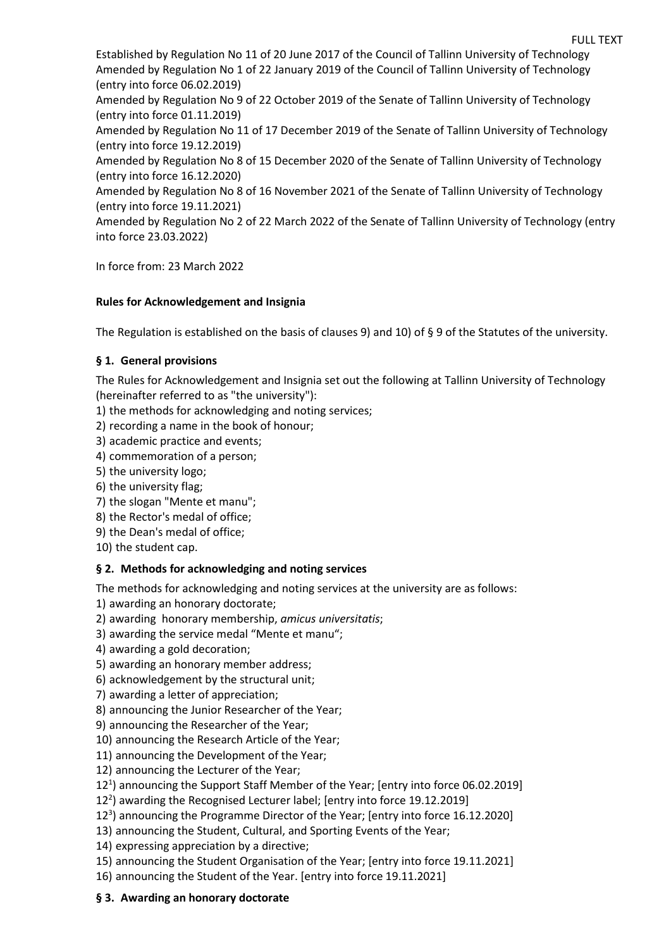Established by Regulation No 11 of 20 June 2017 of the Council of Tallinn University of Technology Amended by Regulation No 1 of 22 January 2019 of the Council of Tallinn University of Technology (entry into force 06.02.2019)

Amended by Regulation No 9 of 22 October 2019 of the Senate of Tallinn University of Technology (entry into force 01.11.2019)

Amended by Regulation No 11 of 17 December 2019 of the Senate of Tallinn University of Technology (entry into force 19.12.2019)

Amended by Regulation No 8 of 15 December 2020 of the Senate of Tallinn University of Technology (entry into force 16.12.2020)

Amended by Regulation No 8 of 16 November 2021 of the Senate of Tallinn University of Technology (entry into force 19.11.2021)

Amended by Regulation No 2 of 22 March 2022 of the Senate of Tallinn University of Technology (entry into force 23.03.2022)

In force from: 23 March 2022

### **Rules for Acknowledgement and Insignia**

The Regulation is established on the basis of clauses 9) and 10) of § 9 of the Statutes of the university.

### **§ 1. General provisions**

The Rules for Acknowledgement and Insignia set out the following at Tallinn University of Technology (hereinafter referred to as "the university"):

1) the methods for acknowledging and noting services;

- 2) recording a name in the book of honour;
- 3) academic practice and events;
- 4) commemoration of a person;
- 5) the university logo;
- 6) the university flag;
- 7) the slogan "Mente et manu";
- 8) the Rector's medal of office;
- 9) the Dean's medal of office;
- 10) the student cap.

#### **§ 2. Methods for acknowledging and noting services**

The methods for acknowledging and noting services at the university are as follows:

- 1) awarding an honorary doctorate;
- 2) awarding honorary membership, *amicus universitatis*;
- 3) awarding the service medal "Mente et manu";
- 4) awarding a gold decoration;
- 5) awarding an honorary member address;
- 6) acknowledgement by the structural unit;
- 7) awarding a letter of appreciation;
- 8) announcing the Junior Researcher of the Year;
- 9) announcing the Researcher of the Year;
- 10) announcing the Research Article of the Year;
- 11) announcing the Development of the Year;
- 12) announcing the Lecturer of the Year;
- 12<sup>1</sup>) announcing the Support Staff Member of the Year; [entry into force 06.02.2019]
- 122 ) awarding the Recognised Lecturer label; [entry into force 19.12.2019]
- 12<sup>3</sup>) announcing the Programme Director of the Year; [entry into force 16.12.2020]
- 13) announcing the Student, Cultural, and Sporting Events of the Year;
- 14) expressing appreciation by a directive;
- 15) announcing the Student Organisation of the Year; [entry into force 19.11.2021]
- 16) announcing the Student of the Year. [entry into force 19.11.2021]

#### **§ 3. Awarding an honorary doctorate**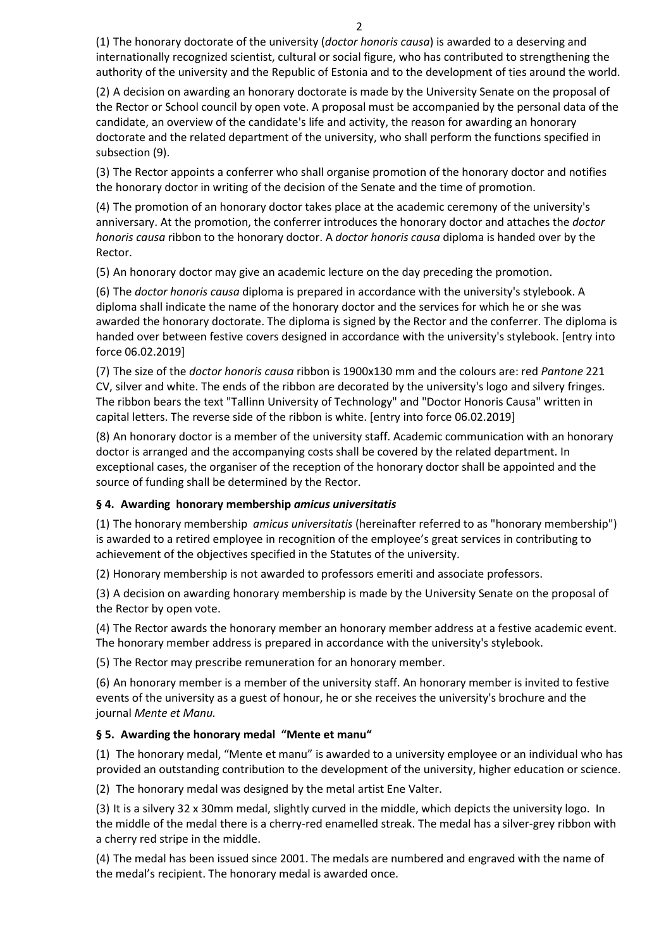(1) The honorary doctorate of the university (*doctor honoris causa*) is awarded to a deserving and internationally recognized scientist, cultural or social figure, who has contributed to strengthening the authority of the university and the Republic of Estonia and to the development of ties around the world.

(2) A decision on awarding an honorary doctorate is made by the University Senate on the proposal of the Rector or School council by open vote. A proposal must be accompanied by the personal data of the candidate, an overview of the candidate's life and activity, the reason for awarding an honorary doctorate and the related department of the university, who shall perform the functions specified in subsection (9).

(3) The Rector appoints a conferrer who shall organise promotion of the honorary doctor and notifies the honorary doctor in writing of the decision of the Senate and the time of promotion.

(4) The promotion of an honorary doctor takes place at the academic ceremony of the university's anniversary. At the promotion, the conferrer introduces the honorary doctor and attaches the *doctor honoris causa* ribbon to the honorary doctor. A *doctor honoris causa* diploma is handed over by the Rector.

(5) An honorary doctor may give an academic lecture on the day preceding the promotion.

(6) The *doctor honoris causa* diploma is prepared in accordance with the university's stylebook. A diploma shall indicate the name of the honorary doctor and the services for which he or she was awarded the honorary doctorate. The diploma is signed by the Rector and the conferrer. The diploma is handed over between festive covers designed in accordance with the university's stylebook. [entry into force 06.02.2019]

(7) The size of the *doctor honoris causa* ribbon is 1900x130 mm and the colours are: red *Pantone* 221 CV, silver and white. The ends of the ribbon are decorated by the university's logo and silvery fringes. The ribbon bears the text "Tallinn University of Technology" and "Doctor Honoris Causa" written in capital letters. The reverse side of the ribbon is white. [entry into force 06.02.2019]

(8) An honorary doctor is a member of the university staff. Academic communication with an honorary doctor is arranged and the accompanying costs shall be covered by the related department. In exceptional cases, the organiser of the reception of the honorary doctor shall be appointed and the source of funding shall be determined by the Rector.

## **§ 4. Awarding honorary membership** *amicus universitatis*

(1) The honorary membership *amicus universitatis* (hereinafter referred to as "honorary membership") is awarded to a retired employee in recognition of the employee's great services in contributing to achievement of the objectives specified in the Statutes of the university.

(2) Honorary membership is not awarded to professors emeriti and associate professors.

(3) A decision on awarding honorary membership is made by the University Senate on the proposal of the Rector by open vote.

(4) The Rector awards the honorary member an honorary member address at a festive academic event. The honorary member address is prepared in accordance with the university's stylebook.

(5) The Rector may prescribe remuneration for an honorary member.

(6) An honorary member is a member of the university staff. An honorary member is invited to festive events of the university as a guest of honour, he or she receives the university's brochure and the journal *Mente et Manu.*

## **§ 5. Awarding the honorary medal "Mente et manu"**

(1) The honorary medal, "Mente et manu" is awarded to a university employee or an individual who has provided an outstanding contribution to the development of the university, higher education or science.

(2) The honorary medal was designed by the metal artist Ene Valter.

(3) It is a silvery 32 x 30mm medal, slightly curved in the middle, which depicts the university logo. In the middle of the medal there is a cherry-red enamelled streak. The medal has a silver-grey ribbon with a cherry red stripe in the middle.

(4) The medal has been issued since 2001. The medals are numbered and engraved with the name of the medal's recipient. The honorary medal is awarded once.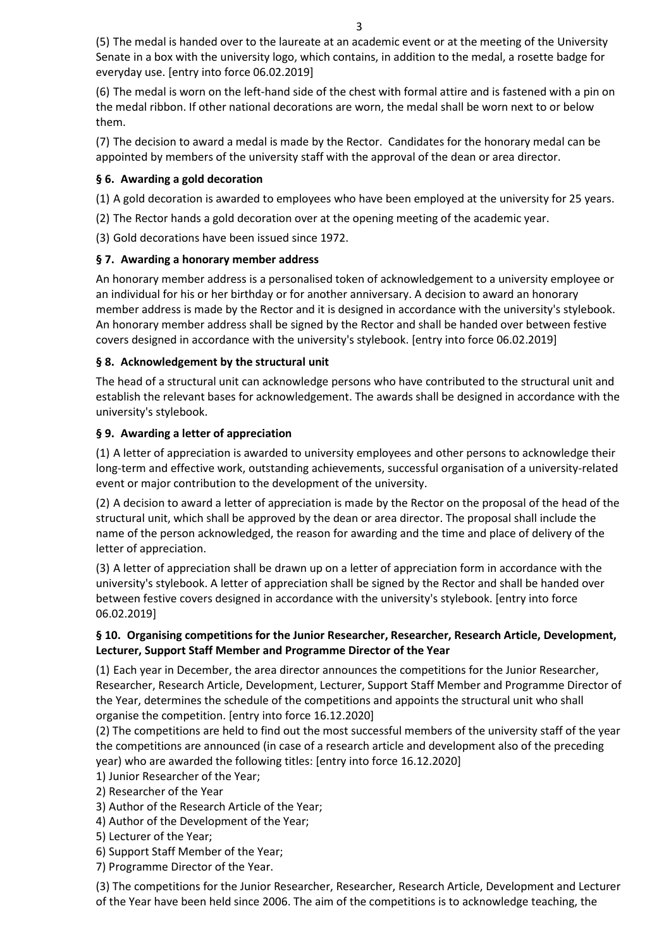(5) The medal is handed over to the laureate at an academic event or at the meeting of the University Senate in a box with the university logo, which contains, in addition to the medal, a rosette badge for everyday use. [entry into force 06.02.2019]

(6) The medal is worn on the left-hand side of the chest with formal attire and is fastened with a pin on the medal ribbon. If other national decorations are worn, the medal shall be worn next to or below them.

(7) The decision to award a medal is made by the Rector. Candidates for the honorary medal can be appointed by members of the university staff with the approval of the dean or area director.

### **§ 6. Awarding a gold decoration**

(1) A gold decoration is awarded to employees who have been employed at the university for 25 years.

(2) The Rector hands a gold decoration over at the opening meeting of the academic year.

(3) Gold decorations have been issued since 1972.

### **§ 7. Awarding a honorary member address**

An honorary member address is a personalised token of acknowledgement to a university employee or an individual for his or her birthday or for another anniversary. A decision to award an honorary member address is made by the Rector and it is designed in accordance with the university's stylebook. An honorary member address shall be signed by the Rector and shall be handed over between festive covers designed in accordance with the university's stylebook. [entry into force 06.02.2019]

### **§ 8. Acknowledgement by the structural unit**

The head of a structural unit can acknowledge persons who have contributed to the structural unit and establish the relevant bases for acknowledgement. The awards shall be designed in accordance with the university's stylebook.

### **§ 9. Awarding a letter of appreciation**

(1) A letter of appreciation is awarded to university employees and other persons to acknowledge their long-term and effective work, outstanding achievements, successful organisation of a university-related event or major contribution to the development of the university.

(2) A decision to award a letter of appreciation is made by the Rector on the proposal of the head of the structural unit, which shall be approved by the dean or area director. The proposal shall include the name of the person acknowledged, the reason for awarding and the time and place of delivery of the letter of appreciation.

(3) A letter of appreciation shall be drawn up on a letter of appreciation form in accordance with the university's stylebook. A letter of appreciation shall be signed by the Rector and shall be handed over between festive covers designed in accordance with the university's stylebook. [entry into force 06.02.2019]

## **§ 10. Organising competitions for the Junior Researcher, Researcher, Research Article, Development, Lecturer, Support Staff Member and Programme Director of the Year**

(1) Each year in December, the area director announces the competitions for the Junior Researcher, Researcher, Research Article, Development, Lecturer, Support Staff Member and Programme Director of the Year, determines the schedule of the competitions and appoints the structural unit who shall organise the competition. [entry into force 16.12.2020]

(2) The competitions are held to find out the most successful members of the university staff of the year the competitions are announced (in case of a research article and development also of the preceding year) who are awarded the following titles: [entry into force 16.12.2020]

1) Junior Researcher of the Year;

2) Researcher of the Year

3) Author of the Research Article of the Year;

4) Author of the Development of the Year;

5) Lecturer of the Year;

6) Support Staff Member of the Year;

7) Programme Director of the Year.

(3) The competitions for the Junior Researcher, Researcher, Research Article, Development and Lecturer of the Year have been held since 2006. The aim of the competitions is to acknowledge teaching, the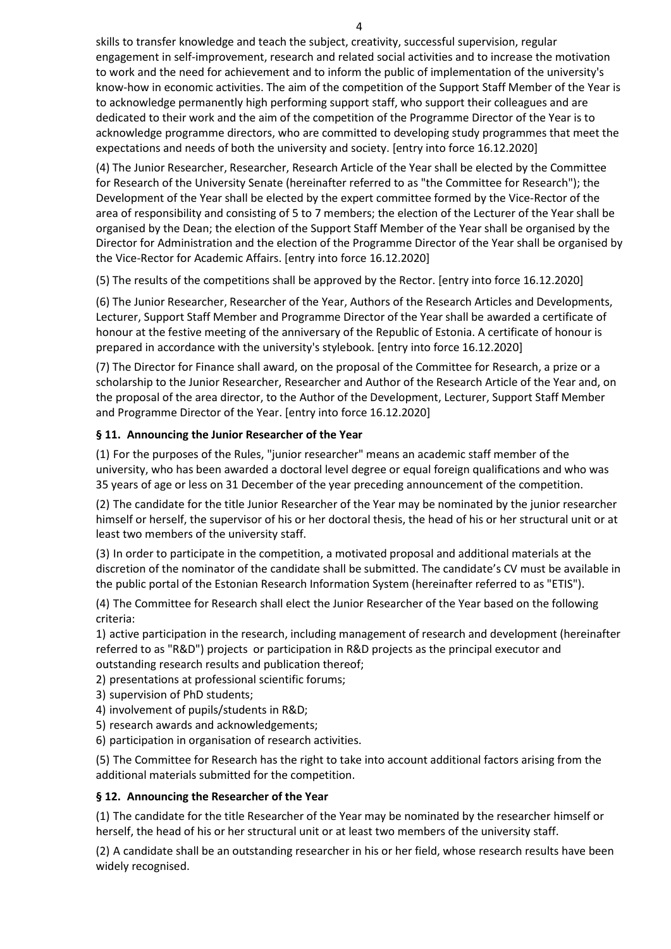skills to transfer knowledge and teach the subject, creativity, successful supervision, regular engagement in self-improvement, research and related social activities and to increase the motivation to work and the need for achievement and to inform the public of implementation of the university's know-how in economic activities. The aim of the competition of the Support Staff Member of the Year is to acknowledge permanently high performing support staff, who support their colleagues and are dedicated to their work and the aim of the competition of the Programme Director of the Year is to acknowledge programme directors, who are committed to developing study programmes that meet the expectations and needs of both the university and society. [entry into force 16.12.2020]

(4) The Junior Researcher, Researcher, Research Article of the Year shall be elected by the Committee for Research of the University Senate (hereinafter referred to as "the Committee for Research"); the Development of the Year shall be elected by the expert committee formed by the Vice-Rector of the area of responsibility and consisting of 5 to 7 members; the election of the Lecturer of the Year shall be organised by the Dean; the election of the Support Staff Member of the Year shall be organised by the Director for Administration and the election of the Programme Director of the Year shall be organised by the Vice-Rector for Academic Affairs. [entry into force 16.12.2020]

(5) The results of the competitions shall be approved by the Rector. [entry into force 16.12.2020]

(6) The Junior Researcher, Researcher of the Year, Authors of the Research Articles and Developments, Lecturer, Support Staff Member and Programme Director of the Year shall be awarded a certificate of honour at the festive meeting of the anniversary of the Republic of Estonia. A certificate of honour is prepared in accordance with the university's stylebook. [entry into force 16.12.2020]

(7) The Director for Finance shall award, on the proposal of the Committee for Research, a prize or a scholarship to the Junior Researcher, Researcher and Author of the Research Article of the Year and, on the proposal of the area director, to the Author of the Development, Lecturer, Support Staff Member and Programme Director of the Year. [entry into force 16.12.2020]

## **§ 11. Announcing the Junior Researcher of the Year**

(1) For the purposes of the Rules, "junior researcher" means an academic staff member of the university, who has been awarded a doctoral level degree or equal foreign qualifications and who was 35 years of age or less on 31 December of the year preceding announcement of the competition.

(2) The candidate for the title Junior Researcher of the Year may be nominated by the junior researcher himself or herself, the supervisor of his or her doctoral thesis, the head of his or her structural unit or at least two members of the university staff.

(3) In order to participate in the competition, a motivated proposal and additional materials at the discretion of the nominator of the candidate shall be submitted. The candidate's CV must be available in the public portal of the Estonian Research Information System (hereinafter referred to as "ETIS").

(4) The Committee for Research shall elect the Junior Researcher of the Year based on the following criteria:

1) active participation in the research, including management of research and development (hereinafter referred to as "R&D") projects or participation in R&D projects as the principal executor and outstanding research results and publication thereof;

2) presentations at professional scientific forums;

- 3) supervision of PhD students;
- 4) involvement of pupils/students in R&D;
- 5) research awards and acknowledgements;
- 6) participation in organisation of research activities.

(5) The Committee for Research has the right to take into account additional factors arising from the additional materials submitted for the competition.

## **§ 12. Announcing the Researcher of the Year**

(1) The candidate for the title Researcher of the Year may be nominated by the researcher himself or herself, the head of his or her structural unit or at least two members of the university staff.

(2) A candidate shall be an outstanding researcher in his or her field, whose research results have been widely recognised.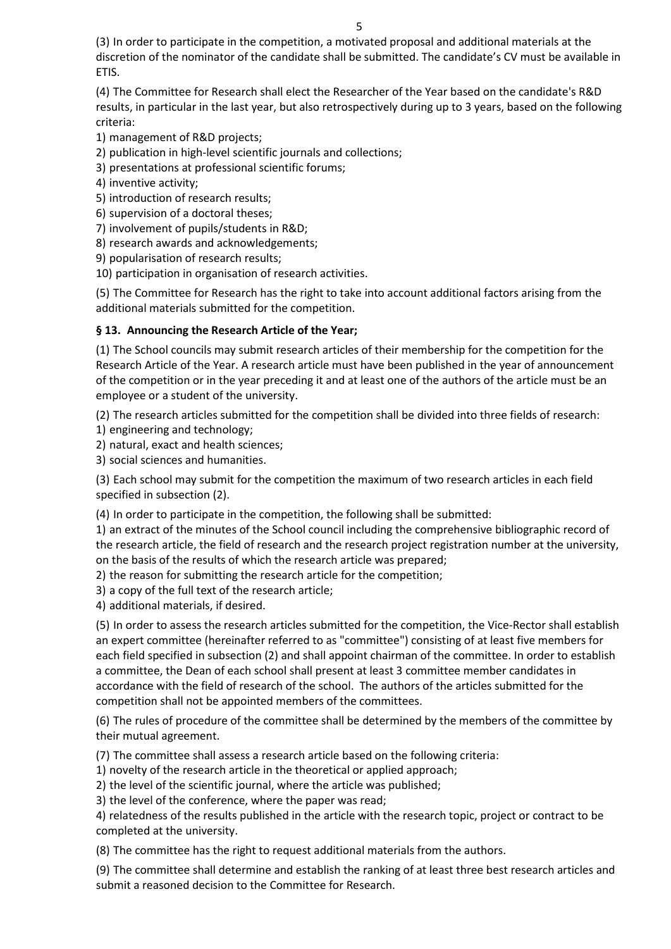(3) In order to participate in the competition, a motivated proposal and additional materials at the discretion of the nominator of the candidate shall be submitted. The candidate's CV must be available in ETIS.

(4) The Committee for Research shall elect the Researcher of the Year based on the candidate's R&D results, in particular in the last year, but also retrospectively during up to 3 years, based on the following criteria:

1) management of R&D projects;

2) publication in high-level scientific journals and collections;

3) presentations at professional scientific forums;

4) inventive activity;

5) introduction of research results;

6) supervision of a doctoral theses;

7) involvement of pupils/students in R&D;

8) research awards and acknowledgements;

9) popularisation of research results;

10) participation in organisation of research activities.

(5) The Committee for Research has the right to take into account additional factors arising from the additional materials submitted for the competition.

## **§ 13. Announcing the Research Article of the Year;**

(1) The School councils may submit research articles of their membership for the competition for the Research Article of the Year. A research article must have been published in the year of announcement of the competition or in the year preceding it and at least one of the authors of the article must be an employee or a student of the university.

(2) The research articles submitted for the competition shall be divided into three fields of research:

1) engineering and technology;

2) natural, exact and health sciences;

3) social sciences and humanities.

(3) Each school may submit for the competition the maximum of two research articles in each field specified in subsection (2).

(4) In order to participate in the competition, the following shall be submitted:

1) an extract of the minutes of the School council including the comprehensive bibliographic record of the research article, the field of research and the research project registration number at the university, on the basis of the results of which the research article was prepared;

2) the reason for submitting the research article for the competition;

3) a copy of the full text of the research article;

4) additional materials, if desired.

(5) In order to assess the research articles submitted for the competition, the Vice-Rector shall establish an expert committee (hereinafter referred to as "committee") consisting of at least five members for each field specified in subsection (2) and shall appoint chairman of the committee. In order to establish a committee, the Dean of each school shall present at least 3 committee member candidates in accordance with the field of research of the school. The authors of the articles submitted for the competition shall not be appointed members of the committees.

(6) The rules of procedure of the committee shall be determined by the members of the committee by their mutual agreement.

(7) The committee shall assess a research article based on the following criteria:

1) novelty of the research article in the theoretical or applied approach;

2) the level of the scientific journal, where the article was published;

3) the level of the conference, where the paper was read;

4) relatedness of the results published in the article with the research topic, project or contract to be completed at the university.

(8) The committee has the right to request additional materials from the authors.

(9) The committee shall determine and establish the ranking of at least three best research articles and submit a reasoned decision to the Committee for Research.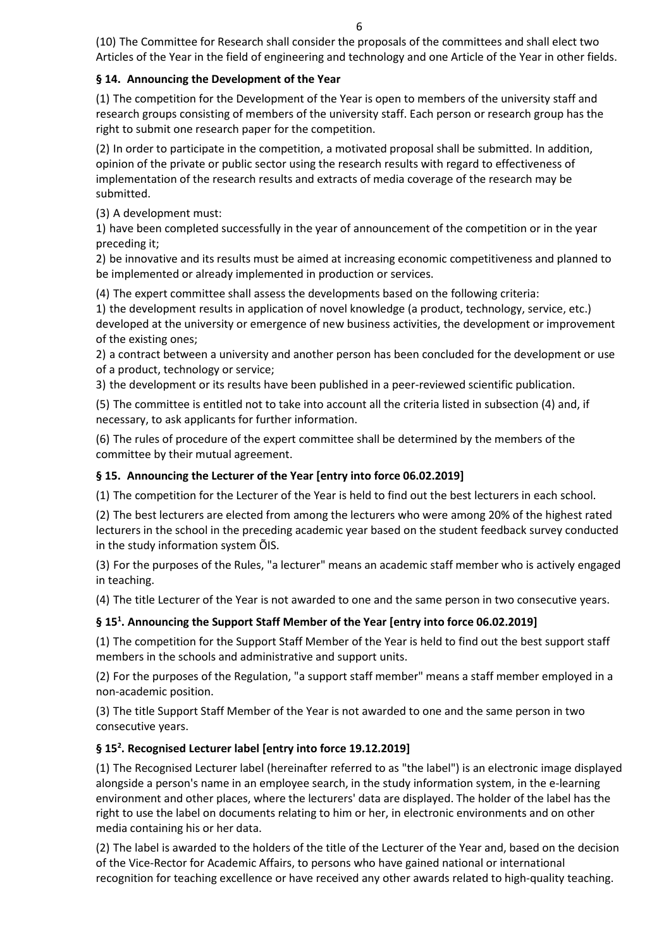(10) The Committee for Research shall consider the proposals of the committees and shall elect two Articles of the Year in the field of engineering and technology and one Article of the Year in other fields.

### **§ 14. Announcing the Development of the Year**

(1) The competition for the Development of the Year is open to members of the university staff and research groups consisting of members of the university staff. Each person or research group has the right to submit one research paper for the competition.

(2) In order to participate in the competition, a motivated proposal shall be submitted. In addition, opinion of the private or public sector using the research results with regard to effectiveness of implementation of the research results and extracts of media coverage of the research may be submitted.

(3) A development must:

1) have been completed successfully in the year of announcement of the competition or in the year preceding it;

2) be innovative and its results must be aimed at increasing economic competitiveness and planned to be implemented or already implemented in production or services.

(4) The expert committee shall assess the developments based on the following criteria:

1) the development results in application of novel knowledge (a product, technology, service, etc.) developed at the university or emergence of new business activities, the development or improvement of the existing ones;

2) a contract between a university and another person has been concluded for the development or use of a product, technology or service;

3) the development or its results have been published in a peer-reviewed scientific publication.

(5) The committee is entitled not to take into account all the criteria listed in subsection (4) and, if necessary, to ask applicants for further information.

(6) The rules of procedure of the expert committee shall be determined by the members of the committee by their mutual agreement.

## **§ 15. Announcing the Lecturer of the Year [entry into force 06.02.2019]**

(1) The competition for the Lecturer of the Year is held to find out the best lecturers in each school.

(2) The best lecturers are elected from among the lecturers who were among 20% of the highest rated lecturers in the school in the preceding academic year based on the student feedback survey conducted in the study information system ÕIS.

(3) For the purposes of the Rules, "a lecturer" means an academic staff member who is actively engaged in teaching.

(4) The title Lecturer of the Year is not awarded to one and the same person in two consecutive years.

### **§ 151 . Announcing the Support Staff Member of the Year [entry into force 06.02.2019]**

(1) The competition for the Support Staff Member of the Year is held to find out the best support staff members in the schools and administrative and support units.

(2) For the purposes of the Regulation, "a support staff member" means a staff member employed in a non-academic position.

(3) The title Support Staff Member of the Year is not awarded to one and the same person in two consecutive years.

## **§ 152 . Recognised Lecturer label [entry into force 19.12.2019]**

(1) The Recognised Lecturer label (hereinafter referred to as "the label") is an electronic image displayed alongside a person's name in an employee search, in the study information system, in the e-learning environment and other places, where the lecturers' data are displayed. The holder of the label has the right to use the label on documents relating to him or her, in electronic environments and on other media containing his or her data.

(2) The label is awarded to the holders of the title of the Lecturer of the Year and, based on the decision of the Vice-Rector for Academic Affairs, to persons who have gained national or international recognition for teaching excellence or have received any other awards related to high-quality teaching.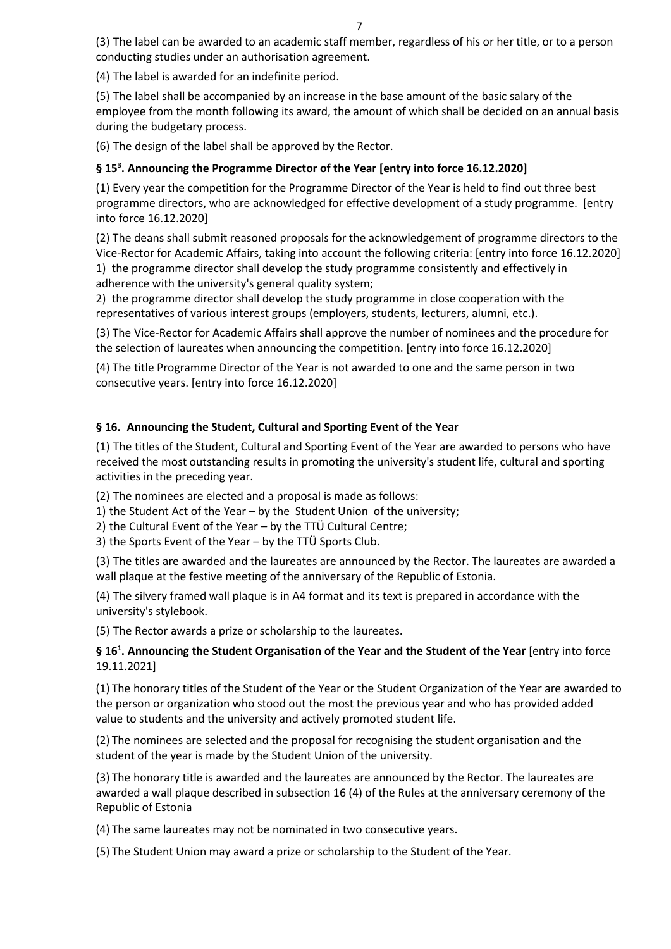7

(3) The label can be awarded to an academic staff member, regardless of his or her title, or to a person conducting studies under an authorisation agreement.

(4) The label is awarded for an indefinite period.

(5) The label shall be accompanied by an increase in the base amount of the basic salary of the employee from the month following its award, the amount of which shall be decided on an annual basis during the budgetary process.

(6) The design of the label shall be approved by the Rector.

## **§ 153 . Announcing the Programme Director of the Year [entry into force 16.12.2020]**

(1) Every year the competition for the Programme Director of the Year is held to find out three best programme directors, who are acknowledged for effective development of a study programme. [entry into force 16.12.2020]

(2) The deans shall submit reasoned proposals for the acknowledgement of programme directors to the Vice-Rector for Academic Affairs, taking into account the following criteria: [entry into force 16.12.2020] 1) the programme director shall develop the study programme consistently and effectively in adherence with the university's general quality system;

2) the programme director shall develop the study programme in close cooperation with the representatives of various interest groups (employers, students, lecturers, alumni, etc.).

(3) The Vice-Rector for Academic Affairs shall approve the number of nominees and the procedure for the selection of laureates when announcing the competition. [entry into force 16.12.2020]

(4) The title Programme Director of the Year is not awarded to one and the same person in two consecutive years. [entry into force 16.12.2020]

### **§ 16. Announcing the Student, Cultural and Sporting Event of the Year**

(1) The titles of the Student, Cultural and Sporting Event of the Year are awarded to persons who have received the most outstanding results in promoting the university's student life, cultural and sporting activities in the preceding year.

(2) The nominees are elected and a proposal is made as follows:

- 1) the Student Act of the Year by the Student Union of the university;
- 2) the Cultural Event of the Year by the TTÜ Cultural Centre;

3) the Sports Event of the Year – by the TTÜ Sports Club.

(3) The titles are awarded and the laureates are announced by the Rector. The laureates are awarded a wall plaque at the festive meeting of the anniversary of the Republic of Estonia.

(4) The silvery framed wall plaque is in A4 format and its text is prepared in accordance with the university's stylebook.

(5) The Rector awards a prize or scholarship to the laureates.

## **§ 161 . Announcing the Student Organisation of the Year and the Student of the Year** [entry into force 19.11.2021]

(1) The honorary titles of the Student of the Year or the Student Organization of the Year are awarded to the person or organization who stood out the most the previous year and who has provided added value to students and the university and actively promoted student life.

(2) The nominees are selected and the proposal for recognising the student organisation and the student of the year is made by the Student Union of the university.

(3) The honorary title is awarded and the laureates are announced by the Rector. The laureates are awarded a wall plaque described in subsection 16 (4) of the Rules at the anniversary ceremony of the Republic of Estonia

(4) The same laureates may not be nominated in two consecutive years.

(5) The Student Union may award a prize or scholarship to the Student of the Year.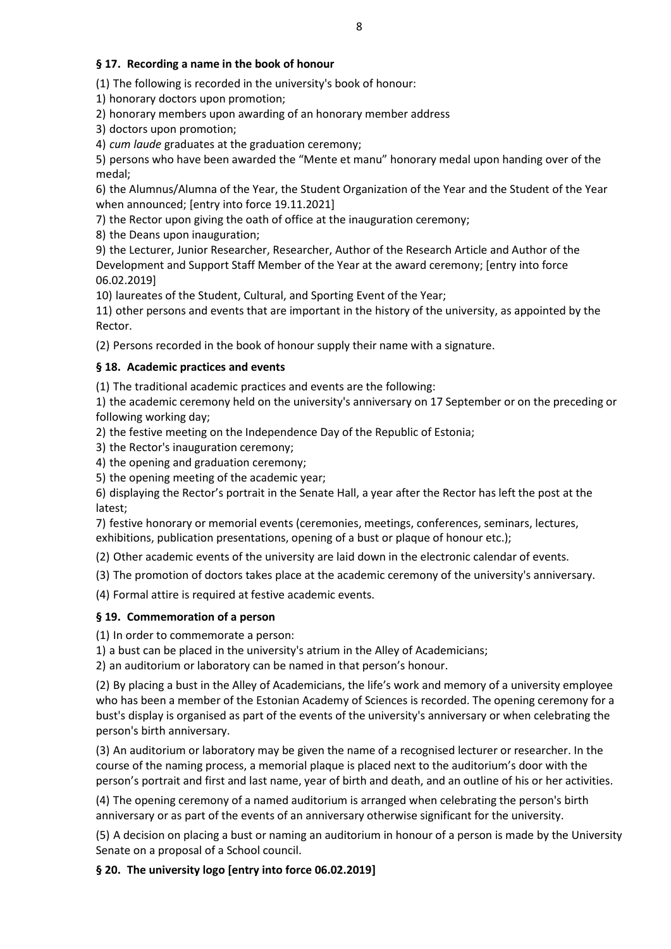### **§ 17. Recording a name in the book of honour**

(1) The following is recorded in the university's book of honour:

1) honorary doctors upon promotion;

2) honorary members upon awarding of an honorary member address

3) doctors upon promotion;

4) *cum laude* graduates at the graduation ceremony;

5) persons who have been awarded the "Mente et manu" honorary medal upon handing over of the medal;

6) the Alumnus/Alumna of the Year, the Student Organization of the Year and the Student of the Year when announced; [entry into force 19.11.2021]

7) the Rector upon giving the oath of office at the inauguration ceremony;

8) the Deans upon inauguration;

9) the Lecturer, Junior Researcher, Researcher, Author of the Research Article and Author of the Development and Support Staff Member of the Year at the award ceremony; [entry into force 06.02.2019]

10) laureates of the Student, Cultural, and Sporting Event of the Year;

11) other persons and events that are important in the history of the university, as appointed by the Rector.

(2) Persons recorded in the book of honour supply their name with a signature.

### **§ 18. Academic practices and events**

(1) The traditional academic practices and events are the following:

1) the academic ceremony held on the university's anniversary on 17 September or on the preceding or following working day;

2) the festive meeting on the Independence Day of the Republic of Estonia;

3) the Rector's inauguration ceremony;

4) the opening and graduation ceremony;

5) the opening meeting of the academic year;

6) displaying the Rector's portrait in the Senate Hall, a year after the Rector has left the post at the latest;

7) festive honorary or memorial events (ceremonies, meetings, conferences, seminars, lectures, exhibitions, publication presentations, opening of a bust or plaque of honour etc.);

(2) Other academic events of the university are laid down in the electronic calendar of events.

(3) The promotion of doctors takes place at the academic ceremony of the university's anniversary.

(4) Formal attire is required at festive academic events.

#### **§ 19. Commemoration of a person**

(1) In order to commemorate a person:

1) a bust can be placed in the university's atrium in the Alley of Academicians;

2) an auditorium or laboratory can be named in that person's honour.

(2) By placing a bust in the Alley of Academicians, the life's work and memory of a university employee who has been a member of the Estonian Academy of Sciences is recorded. The opening ceremony for a bust's display is organised as part of the events of the university's anniversary or when celebrating the person's birth anniversary.

(3) An auditorium or laboratory may be given the name of a recognised lecturer or researcher. In the course of the naming process, a memorial plaque is placed next to the auditorium's door with the person's portrait and first and last name, year of birth and death, and an outline of his or her activities.

(4) The opening ceremony of a named auditorium is arranged when celebrating the person's birth anniversary or as part of the events of an anniversary otherwise significant for the university.

(5) A decision on placing a bust or naming an auditorium in honour of a person is made by the University Senate on a proposal of a School council.

#### **§ 20. The university logo [entry into force 06.02.2019]**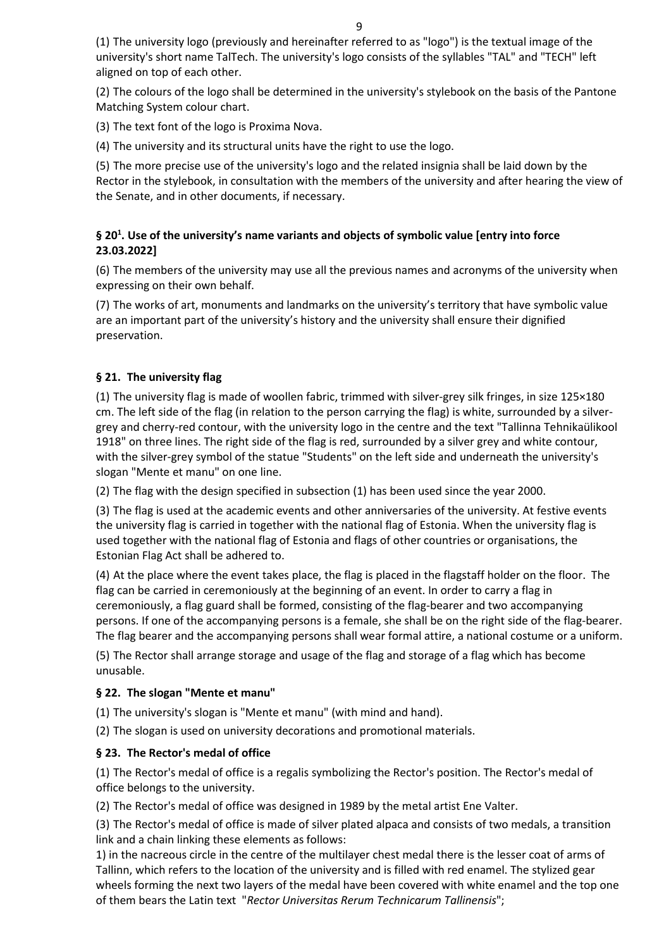(1) The university logo (previously and hereinafter referred to as "logo") is the textual image of the university's short name TalTech. The university's logo consists of the syllables "TAL" and "TECH" left aligned on top of each other.

(2) The colours of the logo shall be determined in the university's stylebook on the basis of the Pantone Matching System colour chart.

(3) The text font of the logo is Proxima Nova.

(4) The university and its structural units have the right to use the logo.

(5) The more precise use of the university's logo and the related insignia shall be laid down by the Rector in the stylebook, in consultation with the members of the university and after hearing the view of the Senate, and in other documents, if necessary.

## **§ 201 . Use of the university's name variants and objects of symbolic value [entry into force 23.03.2022]**

(6) The members of the university may use all the previous names and acronyms of the university when expressing on their own behalf.

(7) The works of art, monuments and landmarks on the university's territory that have symbolic value are an important part of the university's history and the university shall ensure their dignified preservation.

## **§ 21. The university flag**

(1) The university flag is made of woollen fabric, trimmed with silver-grey silk fringes, in size 125×180 cm. The left side of the flag (in relation to the person carrying the flag) is white, surrounded by a silvergrey and cherry-red contour, with the university logo in the centre and the text "Tallinna Tehnikaülikool 1918" on three lines. The right side of the flag is red, surrounded by a silver grey and white contour, with the silver-grey symbol of the statue "Students" on the left side and underneath the university's slogan "Mente et manu" on one line.

(2) The flag with the design specified in subsection (1) has been used since the year 2000.

(3) The flag is used at the academic events and other anniversaries of the university. At festive events the university flag is carried in together with the national flag of Estonia. When the university flag is used together with the national flag of Estonia and flags of other countries or organisations, the Estonian Flag Act shall be adhered to.

(4) At the place where the event takes place, the flag is placed in the flagstaff holder on the floor. The flag can be carried in ceremoniously at the beginning of an event. In order to carry a flag in ceremoniously, a flag guard shall be formed, consisting of the flag-bearer and two accompanying persons. If one of the accompanying persons is a female, she shall be on the right side of the flag-bearer. The flag bearer and the accompanying persons shall wear formal attire, a national costume or a uniform.

(5) The Rector shall arrange storage and usage of the flag and storage of a flag which has become unusable.

## **§ 22. The slogan "Mente et manu"**

(1) The university's slogan is "Mente et manu" (with mind and hand).

(2) The slogan is used on university decorations and promotional materials.

## **§ 23. The Rector's medal of office**

(1) The Rector's medal of office is a regalis symbolizing the Rector's position. The Rector's medal of office belongs to the university.

(2) The Rector's medal of office was designed in 1989 by the metal artist Ene Valter.

(3) The Rector's medal of office is made of silver plated alpaca and consists of two medals, a transition link and a chain linking these elements as follows:

1) in the nacreous circle in the centre of the multilayer chest medal there is the lesser coat of arms of Tallinn, which refers to the location of the university and is filled with red enamel. The stylized gear wheels forming the next two layers of the medal have been covered with white enamel and the top one of them bears the Latin text "*Rector Universitas Rerum Technicarum Tallinensis*";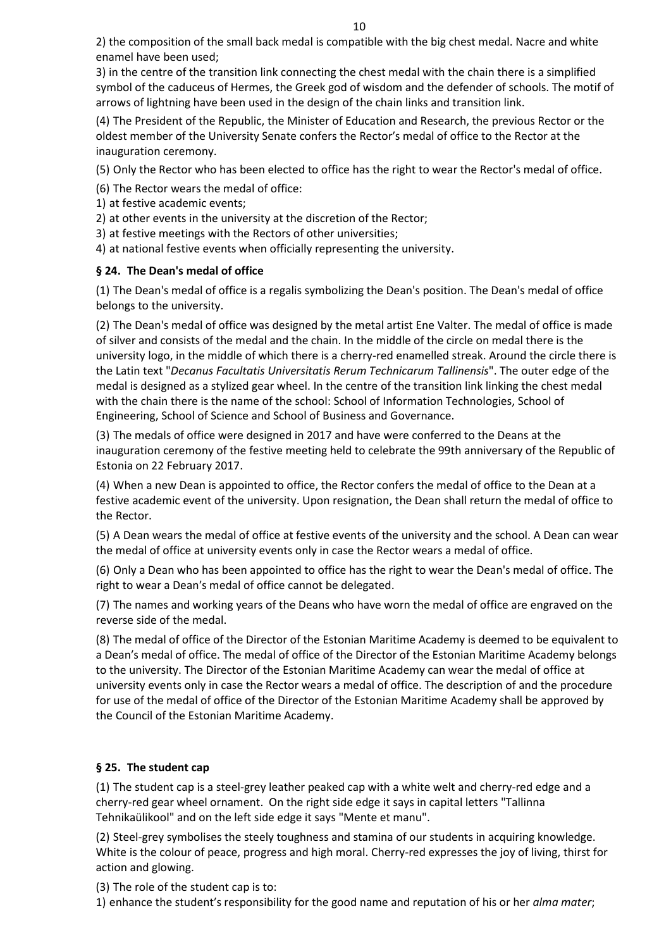2) the composition of the small back medal is compatible with the big chest medal. Nacre and white enamel have been used;

3) in the centre of the transition link connecting the chest medal with the chain there is a simplified symbol of the caduceus of Hermes, the Greek god of wisdom and the defender of schools. The motif of arrows of lightning have been used in the design of the chain links and transition link.

(4) The President of the Republic, the Minister of Education and Research, the previous Rector or the oldest member of the University Senate confers the Rector′s medal of office to the Rector at the inauguration ceremony.

(5) Only the Rector who has been elected to office has the right to wear the Rector's medal of office.

(6) The Rector wears the medal of office:

- 1) at festive academic events;
- 2) at other events in the university at the discretion of the Rector;
- 3) at festive meetings with the Rectors of other universities;
- 4) at national festive events when officially representing the university.

## **§ 24. The Dean's medal of office**

(1) The Dean's medal of office is a regalis symbolizing the Dean's position. The Dean's medal of office belongs to the university.

(2) The Dean's medal of office was designed by the metal artist Ene Valter. The medal of office is made of silver and consists of the medal and the chain. In the middle of the circle on medal there is the university logo, in the middle of which there is a cherry-red enamelled streak. Around the circle there is the Latin text "*Decanus Facultatis Universitatis Rerum Technicarum Tallinensis*". The outer edge of the medal is designed as a stylized gear wheel. In the centre of the transition link linking the chest medal with the chain there is the name of the school: School of Information Technologies, School of Engineering, School of Science and School of Business and Governance.

(3) The medals of office were designed in 2017 and have were conferred to the Deans at the inauguration ceremony of the festive meeting held to celebrate the 99th anniversary of the Republic of Estonia on 22 February 2017.

(4) When a new Dean is appointed to office, the Rector confers the medal of office to the Dean at a festive academic event of the university. Upon resignation, the Dean shall return the medal of office to the Rector.

(5) A Dean wears the medal of office at festive events of the university and the school. A Dean can wear the medal of office at university events only in case the Rector wears a medal of office.

(6) Only a Dean who has been appointed to office has the right to wear the Dean's medal of office. The right to wear a Dean′s medal of office cannot be delegated.

(7) The names and working years of the Deans who have worn the medal of office are engraved on the reverse side of the medal.

(8) The medal of office of the Director of the Estonian Maritime Academy is deemed to be equivalent to a Dean′s medal of office. The medal of office of the Director of the Estonian Maritime Academy belongs to the university. The Director of the Estonian Maritime Academy can wear the medal of office at university events only in case the Rector wears a medal of office. The description of and the procedure for use of the medal of office of the Director of the Estonian Maritime Academy shall be approved by the Council of the Estonian Maritime Academy.

# **§ 25. The student cap**

(1) The student cap is a steel-grey leather peaked cap with a white welt and cherry-red edge and a cherry-red gear wheel ornament. On the right side edge it says in capital letters "Tallinna Tehnikaülikool" and on the left side edge it says "Mente et manu".

(2) Steel-grey symbolises the steely toughness and stamina of our students in acquiring knowledge. White is the colour of peace, progress and high moral. Cherry-red expresses the joy of living, thirst for action and glowing.

(3) The role of the student cap is to:

1) enhance the student′s responsibility for the good name and reputation of his or her *alma mater*;